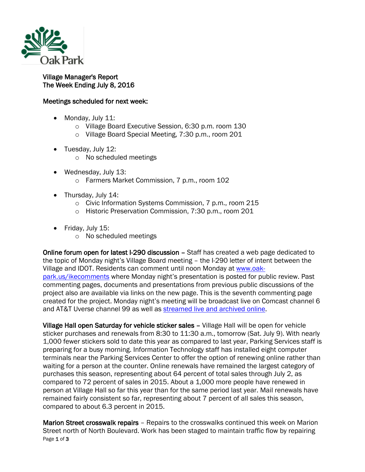

## Village Manager's Report The Week Ending July 8, 2016

## Meetings scheduled for next week:

- Monday, July 11:
	- o Village Board Executive Session, 6:30 p.m. room 130
	- o Village Board Special Meeting, 7:30 p.m., room 201
- Tuesday, July 12:
	- o No scheduled meetings
- Wednesday, July 13:
	- o Farmers Market Commission, 7 p.m., room 102
- Thursday, July 14:
	- o Civic Information Systems Commission, 7 p.m., room 215
	- o Historic Preservation Commission, 7:30 p.m., room 201
- Friday, July 15:
	- o No scheduled meetings

Online forum open for latest I-290 discussion – Staff has created a web page dedicated to the topic of Monday night's Village Board meeting – the I-290 letter of intent between the Village and IDOT. Residents can comment until noon Monday at [www.oak](http://www.oak-park.us/ikecomments)[park.us/ikecomments](http://www.oak-park.us/ikecomments) where Monday night's presentation is posted for public review. Past commenting pages, documents and presentations from previous public discussions of the project also are available via links on the new page. This is the seventh commenting page created for the project. Monday night's meeting will be broadcast live on Comcast channel 6 and AT&T Uverse channel 99 as well as [streamed live and archived online.](http://r20.rs6.net/tn.jsp?f=001wqIcDwfplMlP3ha4RC20MNmWbRzN782kqbg-ja8hAjwHT0IYNBkp_lVHdQJpafFZk9fMhF2PURJccn_-02vNxT5in_uWT5gsTTDi8BgF5Gr1b906RirTYZ-KMd_REFFBvpEu8MR65D4RIo7YSPEi3tvo6BTPozcFBaHoejs-_J7bg-UBoeZ4OEnjx99OflUTDpkTnObLYcagwVGDN8wXjFn30zhLaQ48-v86M7cGanZArsk4ml9dAmeuxjq-uMBAaPPCsTNvdx8s1WnuCN50UqwFu-AfR90v-b4dRMrts-t-53Dd-aW6Cw==&c=jZWvemqBjx0JHMBpqVQMg0L7o8qvndeW6DfhqVZ7vXZOftq5bYkyeQ==&ch=3wRj_XyIpAE0tI2lg5-dIK_LWki1Agrpj6IRzFPtQNWr6CUi9bw5IQ==)

Village Hall open Saturday for vehicle sticker sales – Village Hall will be open for vehicle sticker purchases and renewals from 8:30 to 11:30 a.m., tomorrow (Sat. July 9). With nearly 1,000 fewer stickers sold to date this year as compared to last year, Parking Services staff is preparing for a busy morning. Information Technology staff has installed eight computer terminals near the Parking Services Center to offer the option of renewing online rather than waiting for a person at the counter. Online renewals have remained the largest category of purchases this season, representing about 64 percent of total sales through July 2, as compared to 72 percent of sales in 2015. About a 1,000 more people have renewed in person at Village Hall so far this year than for the same period last year. Mail renewals have remained fairly consistent so far, representing about 7 percent of all sales this season, compared to about 6.3 percent in 2015.

Page 1 of 3 Marion Street crosswalk repairs – Repairs to the crosswalks continued this week on Marion Street north of North Boulevard. Work has been staged to maintain traffic flow by repairing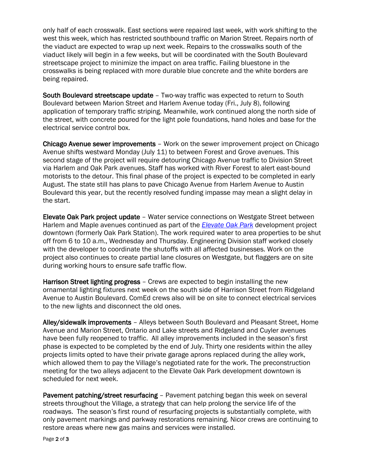only half of each crosswalk. East sections were repaired last week, with work shifting to the west this week, which has restricted southbound traffic on Marion Street. Repairs north of the viaduct are expected to wrap up next week. Repairs to the crosswalks south of the viaduct likely will begin in a few weeks, but will be coordinated with the South Boulevard streetscape project to minimize the impact on area traffic. Failing bluestone in the crosswalks is being replaced with more durable blue concrete and the white borders are being repaired.

South Boulevard streetscape update – Two-way traffic was expected to return to South Boulevard between Marion Street and Harlem Avenue today (Fri., July 8), following application of temporary traffic striping. Meanwhile, work continued along the north side of the street, with concrete poured for the light pole foundations, hand holes and base for the electrical service control box.

Chicago Avenue sewer improvements – Work on the sewer improvement project on Chicago Avenue shifts westward Monday (July 11) to between Forest and Grove avenues. This second stage of the project will require detouring Chicago Avenue traffic to Division Street via Harlem and Oak Park avenues. Staff has worked with River Forest to alert east-bound motorists to the detour. This final phase of the project is expected to be completed in early August. The state still has plans to pave Chicago Avenue from Harlem Avenue to Austin Boulevard this year, but the recently resolved funding impasse may mean a slight delay in the start.

Elevate Oak Park project update – Water service connections on Westgate Street between Harlem and Maple avenues continued as part of the *[Elevate Oak Park](http://elevateoakpark.com/)* development project downtown (formerly Oak Park Station). The work required water to area properties to be shut off from 6 to 10 a.m., Wednesday and Thursday. Engineering Division staff worked closely with the developer to coordinate the shutoffs with all affected businesses. Work on the project also continues to create partial lane closures on Westgate, but flaggers are on site during working hours to ensure safe traffic flow.

Harrison Street lighting progress – Crews are expected to begin installing the new ornamental lighting fixtures next week on the south side of Harrison Street from Ridgeland Avenue to Austin Boulevard. ComEd crews also will be on site to connect electrical services to the new lights and disconnect the old ones.

Alley/sidewalk improvements – Alleys between South Boulevard and Pleasant Street, Home Avenue and Marion Street, Ontario and Lake streets and Ridgeland and Cuyler avenues have been fully reopened to traffic. All alley improvements included in the season's first phase is expected to be completed by the end of July. Thirty one residents within the alley projects limits opted to have their private garage aprons replaced during the alley work, which allowed them to pay the Village's negotiated rate for the work. The preconstruction meeting for the two alleys adjacent to the Elevate Oak Park development downtown is scheduled for next week.

Pavement patching/street resurfacing – Pavement patching began this week on several streets throughout the Village, a strategy that can help prolong the service life of the roadways. The season's first round of resurfacing projects is substantially complete, with only pavement markings and parkway restorations remaining. Nicor crews are continuing to restore areas where new gas mains and services were installed.